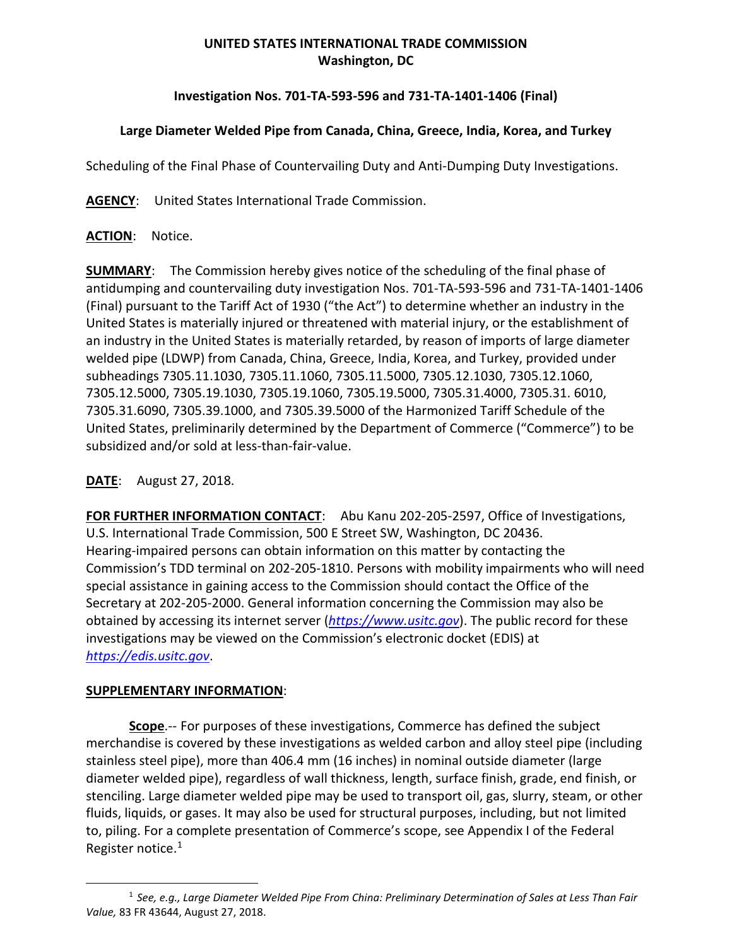# **UNITED STATES INTERNATIONAL TRADE COMMISSION Washington, DC**

# **Investigation Nos. 701-TA-593-596 and 731-TA-1401-1406 (Final)**

# **Large Diameter Welded Pipe from Canada, China, Greece, India, Korea, and Turkey**

Scheduling of the Final Phase of Countervailing Duty and Anti-Dumping Duty Investigations.

**AGENCY**: United States International Trade Commission.

## **ACTION**: Notice.

**SUMMARY**: The Commission hereby gives notice of the scheduling of the final phase of antidumping and countervailing duty investigation Nos. 701-TA-593-596 and 731-TA-1401-1406 (Final) pursuant to the Tariff Act of 1930 ("the Act") to determine whether an industry in the United States is materially injured or threatened with material injury, or the establishment of an industry in the United States is materially retarded, by reason of imports of large diameter welded pipe (LDWP) from Canada, China, Greece, India, Korea, and Turkey, provided under subheadings 7305.11.1030, 7305.11.1060, 7305.11.5000, 7305.12.1030, 7305.12.1060, 7305.12.5000, 7305.19.1030, 7305.19.1060, 7305.19.5000, 7305.31.4000, 7305.31. 6010, 7305.31.6090, 7305.39.1000, and 7305.39.5000 of the Harmonized Tariff Schedule of the United States, preliminarily determined by the Department of Commerce ("Commerce") to be subsidized and/or sold at less-than-fair-value.

### **DATE**: August 27, 2018.

**FOR FURTHER INFORMATION CONTACT**: Abu Kanu 202-205-2597, Office of Investigations, U.S. International Trade Commission, 500 E Street SW, Washington, DC 20436. Hearing-impaired persons can obtain information on this matter by contacting the Commission's TDD terminal on 202-205-1810. Persons with mobility impairments who will need special assistance in gaining access to the Commission should contact the Office of the Secretary at 202-205-2000. General information concerning the Commission may also be obtained by accessing its internet server (*[https://www.usitc.gov](https://www.usitc.gov/)*). The public record for these investigations may be viewed on the Commission's electronic docket (EDIS) at *[https://edis.usitc.gov](https://edis.usitc.gov/)*.

#### **SUPPLEMENTARY INFORMATION**:

 $\overline{a}$ 

**Scope**.-- For purposes of these investigations, Commerce has defined the subject merchandise is covered by these investigations as welded carbon and alloy steel pipe (including stainless steel pipe), more than 406.4 mm (16 inches) in nominal outside diameter (large diameter welded pipe), regardless of wall thickness, length, surface finish, grade, end finish, or stenciling. Large diameter welded pipe may be used to transport oil, gas, slurry, steam, or other fluids, liquids, or gases. It may also be used for structural purposes, including, but not limited to, piling. For a complete presentation of Commerce's scope, see Appendix I of the Federal Register notice[.1](#page-0-0)

<span id="page-0-0"></span><sup>1</sup> *See, e.g., Large Diameter Welded Pipe From China: Preliminary Determination of Sales at Less Than Fair Value,* 83 FR 43644, August 27, 2018.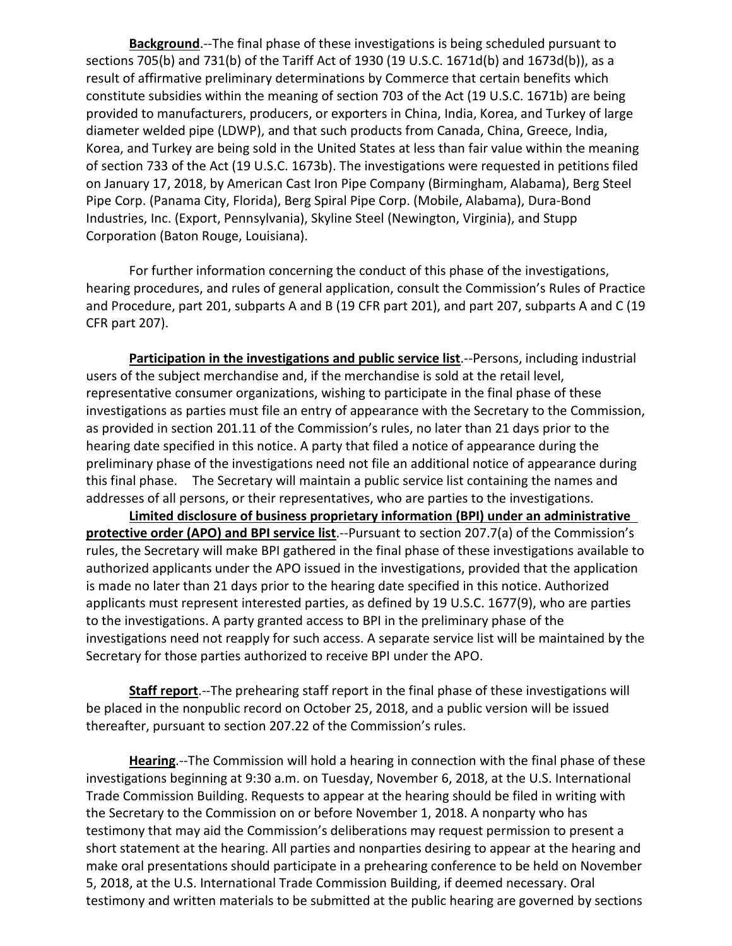**Background**.--The final phase of these investigations is being scheduled pursuant to sections 705(b) and 731(b) of the Tariff Act of 1930 (19 U.S.C. 1671d(b) and 1673d(b)), as a result of affirmative preliminary determinations by Commerce that certain benefits which constitute subsidies within the meaning of section 703 of the Act (19 U.S.C. 1671b) are being provided to manufacturers, producers, or exporters in China, India, Korea, and Turkey of large diameter welded pipe (LDWP), and that such products from Canada, China, Greece, India, Korea, and Turkey are being sold in the United States at less than fair value within the meaning of section 733 of the Act (19 U.S.C. 1673b). The investigations were requested in petitions filed on January 17, 2018, by American Cast Iron Pipe Company (Birmingham, Alabama), Berg Steel Pipe Corp. (Panama City, Florida), Berg Spiral Pipe Corp. (Mobile, Alabama), Dura-Bond Industries, Inc. (Export, Pennsylvania), Skyline Steel (Newington, Virginia), and Stupp Corporation (Baton Rouge, Louisiana).

For further information concerning the conduct of this phase of the investigations, hearing procedures, and rules of general application, consult the Commission's Rules of Practice and Procedure, part 201, subparts A and B (19 CFR part 201), and part 207, subparts A and C (19 CFR part 207).

**Participation in the investigations and public service list.**--Persons, including industrial users of the subject merchandise and, if the merchandise is sold at the retail level, representative consumer organizations, wishing to participate in the final phase of these investigations as parties must file an entry of appearance with the Secretary to the Commission, as provided in section 201.11 of the Commission's rules, no later than 21 days prior to the hearing date specified in this notice. A party that filed a notice of appearance during the preliminary phase of the investigations need not file an additional notice of appearance during this final phase. The Secretary will maintain a public service list containing the names and addresses of all persons, or their representatives, who are parties to the investigations.

**Limited disclosure of business proprietary information (BPI) under an administrative protective order (APO) and BPI service list**.--Pursuant to section 207.7(a) of the Commission's rules, the Secretary will make BPI gathered in the final phase of these investigations available to authorized applicants under the APO issued in the investigations, provided that the application is made no later than 21 days prior to the hearing date specified in this notice. Authorized applicants must represent interested parties, as defined by 19 U.S.C. 1677(9), who are parties to the investigations. A party granted access to BPI in the preliminary phase of the investigations need not reapply for such access. A separate service list will be maintained by the Secretary for those parties authorized to receive BPI under the APO.

**Staff report**.--The prehearing staff report in the final phase of these investigations will be placed in the nonpublic record on October 25, 2018, and a public version will be issued thereafter, pursuant to section 207.22 of the Commission's rules.

**Hearing**.--The Commission will hold a hearing in connection with the final phase of these investigations beginning at 9:30 a.m. on Tuesday, November 6, 2018, at the U.S. International Trade Commission Building. Requests to appear at the hearing should be filed in writing with the Secretary to the Commission on or before November 1, 2018. A nonparty who has testimony that may aid the Commission's deliberations may request permission to present a short statement at the hearing. All parties and nonparties desiring to appear at the hearing and make oral presentations should participate in a prehearing conference to be held on November 5, 2018, at the U.S. International Trade Commission Building, if deemed necessary. Oral testimony and written materials to be submitted at the public hearing are governed by sections